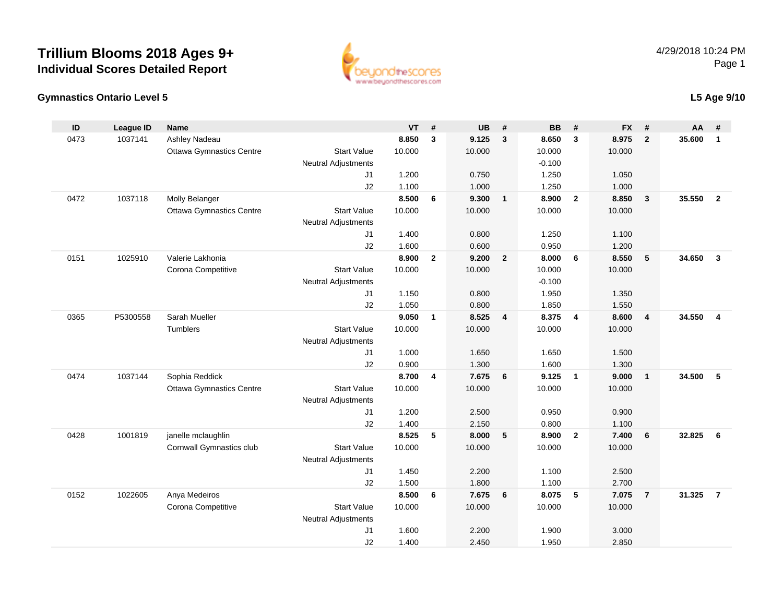

### **Gymnastics Ontario Level 5**

### **L5 Age 9/10**

| ID   | <b>League ID</b> | <b>Name</b>                     |                                                  | <b>VT</b>      | #                       | <b>UB</b>      | #              | <b>BB</b>      | #                       | <b>FX</b>      | #                       | AA     | #              |
|------|------------------|---------------------------------|--------------------------------------------------|----------------|-------------------------|----------------|----------------|----------------|-------------------------|----------------|-------------------------|--------|----------------|
| 0473 | 1037141          | Ashley Nadeau                   |                                                  | 8.850          | 3                       | 9.125          | $\overline{3}$ | 8.650          | $\overline{\mathbf{3}}$ | 8.975          | $\overline{2}$          | 35.600 | $\mathbf{1}$   |
|      |                  | <b>Ottawa Gymnastics Centre</b> | <b>Start Value</b>                               | 10.000         |                         | 10.000         |                | 10.000         |                         | 10.000         |                         |        |                |
|      |                  |                                 | <b>Neutral Adjustments</b>                       |                |                         |                |                | $-0.100$       |                         |                |                         |        |                |
|      |                  |                                 | J1                                               | 1.200          |                         | 0.750          |                | 1.250          |                         | 1.050          |                         |        |                |
|      |                  |                                 | J2                                               | 1.100          |                         | 1.000          |                | 1.250          |                         | 1.000          |                         |        |                |
| 0472 | 1037118          | Molly Belanger                  |                                                  | 8.500          | 6                       | 9.300          | $\mathbf{1}$   | 8.900          | $\overline{2}$          | 8.850          | $\overline{\mathbf{3}}$ | 35.550 | $\overline{2}$ |
|      |                  | <b>Ottawa Gymnastics Centre</b> | <b>Start Value</b>                               | 10.000         |                         | 10.000         |                | 10.000         |                         | 10.000         |                         |        |                |
|      |                  |                                 | <b>Neutral Adjustments</b>                       |                |                         |                |                |                |                         |                |                         |        |                |
|      |                  |                                 | J1<br>J2                                         | 1.400<br>1.600 |                         | 0.800<br>0.600 |                | 1.250<br>0.950 |                         | 1.100<br>1.200 |                         |        |                |
| 0151 | 1025910          | Valerie Lakhonia                |                                                  | 8.900          | $\overline{2}$          | 9.200          | $\overline{2}$ | 8.000          | 6                       | 8.550          | 5                       | 34.650 | $\overline{3}$ |
|      |                  | Corona Competitive              | <b>Start Value</b>                               | 10.000         |                         | 10.000         |                | 10.000         |                         | 10.000         |                         |        |                |
|      |                  |                                 | <b>Neutral Adjustments</b>                       |                |                         |                |                | $-0.100$       |                         |                |                         |        |                |
|      |                  |                                 | J1                                               | 1.150          |                         | 0.800          |                | 1.950          |                         | 1.350          |                         |        |                |
|      |                  |                                 | J2                                               | 1.050          |                         | 0.800          |                | 1.850          |                         | 1.550          |                         |        |                |
| 0365 | P5300558         | Sarah Mueller                   |                                                  | 9.050          | $\mathbf{1}$            | 8.525          | $\overline{4}$ | 8.375          | $\overline{\mathbf{4}}$ | 8.600          | $\overline{4}$          | 34.550 | $\overline{4}$ |
|      |                  | Tumblers                        | <b>Start Value</b>                               | 10.000         |                         | 10.000         |                | 10.000         |                         | 10.000         |                         |        |                |
|      |                  |                                 | Neutral Adjustments                              |                |                         |                |                |                |                         |                |                         |        |                |
|      |                  |                                 | J1                                               | 1.000          |                         | 1.650          |                | 1.650          |                         | 1.500          |                         |        |                |
|      |                  |                                 | J2                                               | 0.900          |                         | 1.300          |                | 1.600          |                         | 1.300          |                         |        |                |
| 0474 | 1037144          | Sophia Reddick                  |                                                  | 8.700          | $\overline{\mathbf{4}}$ | 7.675          | 6              | 9.125          | $\overline{\mathbf{1}}$ | 9.000          | $\overline{1}$          | 34.500 | 5              |
|      |                  | <b>Ottawa Gymnastics Centre</b> | <b>Start Value</b>                               | 10.000         |                         | 10.000         |                | 10.000         |                         | 10.000         |                         |        |                |
|      |                  |                                 | <b>Neutral Adjustments</b>                       |                |                         |                |                |                |                         |                |                         |        |                |
|      |                  |                                 | J1                                               | 1.200          |                         | 2.500          |                | 0.950          |                         | 0.900          |                         |        |                |
|      |                  |                                 | J2                                               | 1.400          |                         | 2.150          |                | 0.800          |                         | 1.100          |                         |        |                |
| 0428 | 1001819          | janelle mclaughlin              |                                                  | 8.525          | 5                       | 8.000          | 5              | 8.900          | $\overline{2}$          | 7.400          | 6                       | 32.825 | 6              |
|      |                  | Cornwall Gymnastics club        | <b>Start Value</b><br><b>Neutral Adjustments</b> | 10.000         |                         | 10.000         |                | 10.000         |                         | 10.000         |                         |        |                |
|      |                  |                                 | J1                                               | 1.450          |                         | 2.200          |                | 1.100          |                         | 2.500          |                         |        |                |
|      |                  |                                 | J2                                               | 1.500          |                         | 1.800          |                | 1.100          |                         | 2.700          |                         |        |                |
| 0152 | 1022605          | Anya Medeiros                   |                                                  | 8.500          | 6                       | 7.675          | 6              | 8.075          | 5                       | 7.075          | $\overline{7}$          | 31.325 | $\overline{7}$ |
|      |                  | Corona Competitive              | <b>Start Value</b>                               | 10.000         |                         | 10.000         |                | 10.000         |                         | 10.000         |                         |        |                |
|      |                  |                                 | <b>Neutral Adjustments</b>                       |                |                         |                |                |                |                         |                |                         |        |                |
|      |                  |                                 | J1                                               | 1.600          |                         | 2.200          |                | 1.900          |                         | 3.000          |                         |        |                |
|      |                  |                                 | J2                                               | 1.400          |                         | 2.450          |                | 1.950          |                         | 2.850          |                         |        |                |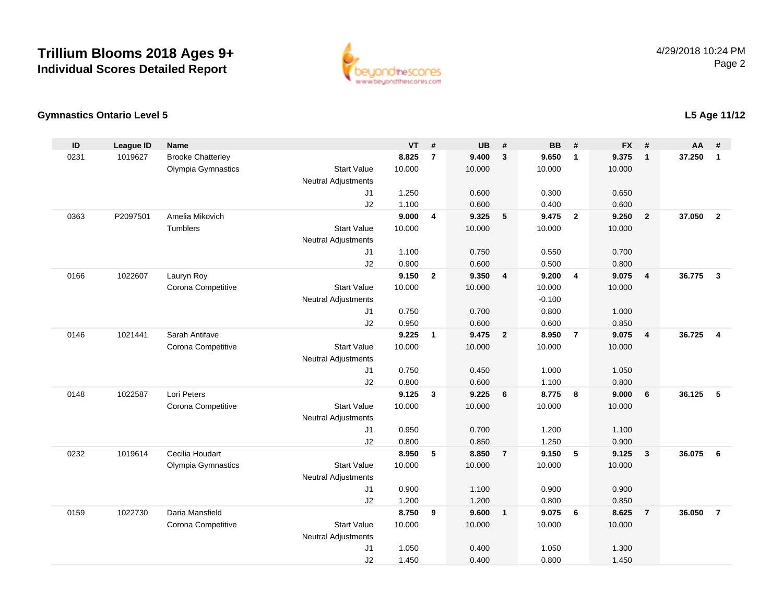

### **Gymnastics Ontario Level 5**

| ID   | <b>League ID</b> | <b>Name</b>              |                            | <b>VT</b> | #              | <b>UB</b> | #               | <b>BB</b> | #              | <b>FX</b> | #                       | <b>AA</b> | #              |
|------|------------------|--------------------------|----------------------------|-----------|----------------|-----------|-----------------|-----------|----------------|-----------|-------------------------|-----------|----------------|
| 0231 | 1019627          | <b>Brooke Chatterley</b> |                            | 8.825     | $\overline{7}$ | 9.400     | $\mathbf{3}$    | 9.650     | $\overline{1}$ | 9.375     | $\mathbf{1}$            | 37.250    | $\mathbf{1}$   |
|      |                  | Olympia Gymnastics       | <b>Start Value</b>         | 10.000    |                | 10.000    |                 | 10.000    |                | 10.000    |                         |           |                |
|      |                  |                          | <b>Neutral Adjustments</b> |           |                |           |                 |           |                |           |                         |           |                |
|      |                  |                          | J1                         | 1.250     |                | 0.600     |                 | 0.300     |                | 0.650     |                         |           |                |
|      |                  |                          | J2                         | 1.100     |                | 0.600     |                 | 0.400     |                | 0.600     |                         |           |                |
| 0363 | P2097501         | Amelia Mikovich          |                            | 9.000     | $\overline{4}$ | 9.325     | 5               | 9.475     | $\overline{2}$ | 9.250     | $\overline{2}$          | 37.050    | $\overline{2}$ |
|      |                  | Tumblers                 | <b>Start Value</b>         | 10.000    |                | 10.000    |                 | 10.000    |                | 10.000    |                         |           |                |
|      |                  |                          | <b>Neutral Adjustments</b> |           |                |           |                 |           |                |           |                         |           |                |
|      |                  |                          | J1                         | 1.100     |                | 0.750     |                 | 0.550     |                | 0.700     |                         |           |                |
|      |                  |                          | J2                         | 0.900     |                | 0.600     |                 | 0.500     |                | 0.800     |                         |           |                |
| 0166 | 1022607          | Lauryn Roy               |                            | 9.150     | $\overline{2}$ | 9.350     | $\overline{4}$  | 9.200     | $\overline{4}$ | 9.075     | 4                       | 36.775    | $\mathbf{3}$   |
|      |                  | Corona Competitive       | <b>Start Value</b>         | 10.000    |                | 10.000    |                 | 10.000    |                | 10.000    |                         |           |                |
|      |                  |                          | <b>Neutral Adjustments</b> |           |                |           |                 | $-0.100$  |                |           |                         |           |                |
|      |                  |                          | J1                         | 0.750     |                | 0.700     |                 | 0.800     |                | 1.000     |                         |           |                |
|      |                  |                          | J2                         | 0.950     |                | 0.600     |                 | 0.600     |                | 0.850     |                         |           |                |
| 0146 | 1021441          | Sarah Antifave           |                            | 9.225     | $\mathbf{1}$   | 9.475     | $\overline{2}$  | 8.950     | $\overline{7}$ | 9.075     | $\overline{\mathbf{4}}$ | 36.725    | $\overline{4}$ |
|      |                  | Corona Competitive       | <b>Start Value</b>         | 10.000    |                | 10.000    |                 | 10.000    |                | 10.000    |                         |           |                |
|      |                  |                          | <b>Neutral Adjustments</b> |           |                |           |                 |           |                |           |                         |           |                |
|      |                  |                          | J1                         | 0.750     |                | 0.450     |                 | 1.000     |                | 1.050     |                         |           |                |
|      |                  |                          | J2                         | 0.800     |                | 0.600     |                 | 1.100     |                | 0.800     |                         |           |                |
| 0148 | 1022587          | Lori Peters              |                            | 9.125     | $\mathbf{3}$   | 9.225     | $6\phantom{1}6$ | 8.775     | $\bf{8}$       | 9.000     | 6                       | 36.125    | 5              |
|      |                  | Corona Competitive       | <b>Start Value</b>         | 10.000    |                | 10.000    |                 | 10.000    |                | 10.000    |                         |           |                |
|      |                  |                          | <b>Neutral Adjustments</b> |           |                |           |                 |           |                |           |                         |           |                |
|      |                  |                          | J1                         | 0.950     |                | 0.700     |                 | 1.200     |                | 1.100     |                         |           |                |
|      |                  |                          | J2                         | 0.800     |                | 0.850     |                 | 1.250     |                | 0.900     |                         |           |                |
| 0232 | 1019614          | Cecilia Houdart          |                            | 8.950     | 5              | 8.850     | $\overline{7}$  | 9.150     | 5              | 9.125     | 3                       | 36.075    | 6              |
|      |                  | Olympia Gymnastics       | <b>Start Value</b>         | 10.000    |                | 10.000    |                 | 10.000    |                | 10.000    |                         |           |                |
|      |                  |                          | <b>Neutral Adjustments</b> |           |                |           |                 |           |                |           |                         |           |                |
|      |                  |                          | J1                         | 0.900     |                | 1.100     |                 | 0.900     |                | 0.900     |                         |           |                |
|      |                  |                          | J2                         | 1.200     |                | 1.200     |                 | 0.800     |                | 0.850     |                         |           |                |
| 0159 | 1022730          | Daria Mansfield          |                            | 8.750     | 9              | 9.600     | $\overline{1}$  | 9.075     | 6              | 8.625     | $\overline{7}$          | 36.050    | $\overline{7}$ |
|      |                  | Corona Competitive       | <b>Start Value</b>         | 10.000    |                | 10.000    |                 | 10.000    |                | 10.000    |                         |           |                |
|      |                  |                          | <b>Neutral Adjustments</b> |           |                |           |                 |           |                |           |                         |           |                |
|      |                  |                          | J1                         | 1.050     |                | 0.400     |                 | 1.050     |                | 1.300     |                         |           |                |
|      |                  |                          | J2                         | 1.450     |                | 0.400     |                 | 0.800     |                | 1.450     |                         |           |                |

**L5 Age 11/12**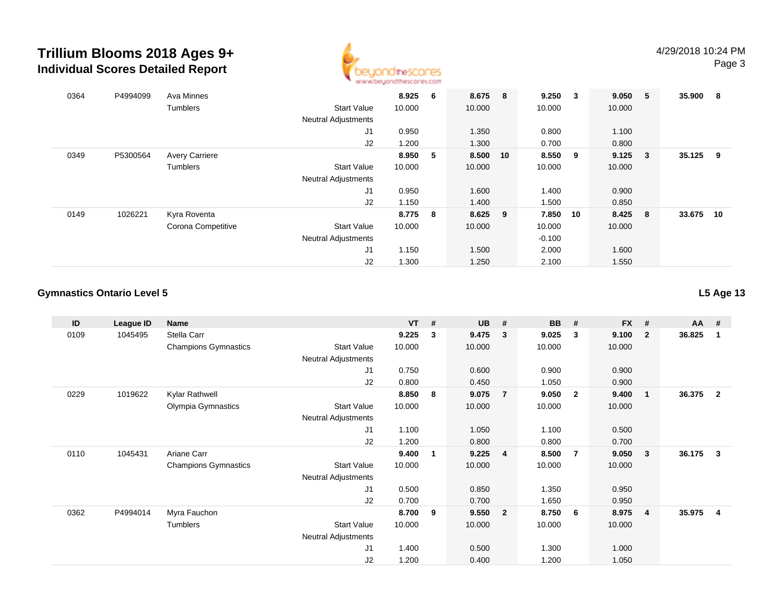

| 0364 | P4994099 | Ava Minnes            |                            | 8.925  | 6 | 8.675 8   |    | 9.250    | $\overline{\mathbf{3}}$ | 9.050 5 |                         | 35.900 | - 8 |
|------|----------|-----------------------|----------------------------|--------|---|-----------|----|----------|-------------------------|---------|-------------------------|--------|-----|
|      |          | <b>Tumblers</b>       | <b>Start Value</b>         | 10.000 |   | 10.000    |    | 10.000   |                         | 10.000  |                         |        |     |
|      |          |                       | <b>Neutral Adjustments</b> |        |   |           |    |          |                         |         |                         |        |     |
|      |          |                       | J1                         | 0.950  |   | 1.350     |    | 0.800    |                         | 1.100   |                         |        |     |
|      |          |                       | J2                         | 1.200  |   | 1.300     |    | 0.700    |                         | 0.800   |                         |        |     |
| 0349 | P5300564 | <b>Avery Carriere</b> |                            | 8.950  | 5 | 8.500     | 10 | 8.550    | - 9                     | 9.125   | $\overline{\mathbf{3}}$ | 35.125 | - 9 |
|      |          | <b>Tumblers</b>       | <b>Start Value</b>         | 10.000 |   | 10.000    |    | 10.000   |                         | 10.000  |                         |        |     |
|      |          |                       | <b>Neutral Adjustments</b> |        |   |           |    |          |                         |         |                         |        |     |
|      |          |                       | J1                         | 0.950  |   | 1.600     |    | 1.400    |                         | 0.900   |                         |        |     |
|      |          |                       | J2                         | 1.150  |   | 1.400     |    | 1.500    |                         | 0.850   |                         |        |     |
| 0149 | 1026221  | Kyra Roventa          |                            | 8.775  | 8 | $8.625$ 9 |    | 7.850    | 10                      | 8.425   | 8                       | 33.675 | 10  |
|      |          | Corona Competitive    | <b>Start Value</b>         | 10.000 |   | 10.000    |    | 10.000   |                         | 10.000  |                         |        |     |
|      |          |                       | <b>Neutral Adjustments</b> |        |   |           |    | $-0.100$ |                         |         |                         |        |     |
|      |          |                       | J1                         | 1.150  |   | 1.500     |    | 2.000    |                         | 1.600   |                         |        |     |
|      |          |                       | J2                         | 1.300  |   | 1.250     |    | 2.100    |                         | 1.550   |                         |        |     |

### **Gymnastics Ontario Level 5**

**L5 Age 13**

| ID   | League ID | Name                        |                            | <b>VT</b> | # | <b>UB</b> | #              | <b>BB</b> | #              | <b>FX</b> | #              | <b>AA</b> | #            |
|------|-----------|-----------------------------|----------------------------|-----------|---|-----------|----------------|-----------|----------------|-----------|----------------|-----------|--------------|
| 0109 | 1045495   | Stella Carr                 |                            | 9.225     | 3 | 9.475     | 3              | 9.025     | 3              | 9.100     | $\overline{2}$ | 36.825    | -1           |
|      |           | <b>Champions Gymnastics</b> | <b>Start Value</b>         | 10.000    |   | 10.000    |                | 10.000    |                | 10.000    |                |           |              |
|      |           |                             | <b>Neutral Adjustments</b> |           |   |           |                |           |                |           |                |           |              |
|      |           |                             | J <sub>1</sub>             | 0.750     |   | 0.600     |                | 0.900     |                | 0.900     |                |           |              |
|      |           |                             | J2                         | 0.800     |   | 0.450     |                | 1.050     |                | 0.900     |                |           |              |
| 0229 | 1019622   | Kylar Rathwell              |                            | 8.850     | 8 | 9.075     | $\overline{7}$ | 9.050     | $\overline{2}$ | 9.400     | -1             | 36.375    | $\mathbf{2}$ |
|      |           | Olympia Gymnastics          | <b>Start Value</b>         | 10.000    |   | 10.000    |                | 10.000    |                | 10.000    |                |           |              |
|      |           |                             | Neutral Adjustments        |           |   |           |                |           |                |           |                |           |              |
|      |           |                             | J1                         | 1.100     |   | 1.050     |                | 1.100     |                | 0.500     |                |           |              |
|      |           |                             | J2                         | 1.200     |   | 0.800     |                | 0.800     |                | 0.700     |                |           |              |
| 0110 | 1045431   | Ariane Carr                 |                            | 9.400     | 1 | 9.225     | 4              | 8.500     | $\overline{7}$ | 9.050     | - 3            | 36.175    | 3            |
|      |           | <b>Champions Gymnastics</b> | <b>Start Value</b>         | 10.000    |   | 10.000    |                | 10.000    |                | 10.000    |                |           |              |
|      |           |                             | <b>Neutral Adjustments</b> |           |   |           |                |           |                |           |                |           |              |
|      |           |                             | J1                         | 0.500     |   | 0.850     |                | 1.350     |                | 0.950     |                |           |              |
|      |           |                             | J2                         | 0.700     |   | 0.700     |                | 1.650     |                | 0.950     |                |           |              |
| 0362 | P4994014  | Myra Fauchon                |                            | 8.700     | 9 | 9.550     | $\overline{2}$ | 8.750     | - 6            | 8.975     | -4             | 35.975    | 4            |
|      |           | Tumblers                    | <b>Start Value</b>         | 10.000    |   | 10.000    |                | 10.000    |                | 10.000    |                |           |              |
|      |           |                             | Neutral Adjustments        |           |   |           |                |           |                |           |                |           |              |
|      |           |                             | J1                         | 1.400     |   | 0.500     |                | 1.300     |                | 1.000     |                |           |              |
|      |           |                             | J2                         | 1.200     |   | 0.400     |                | 1.200     |                | 1.050     |                |           |              |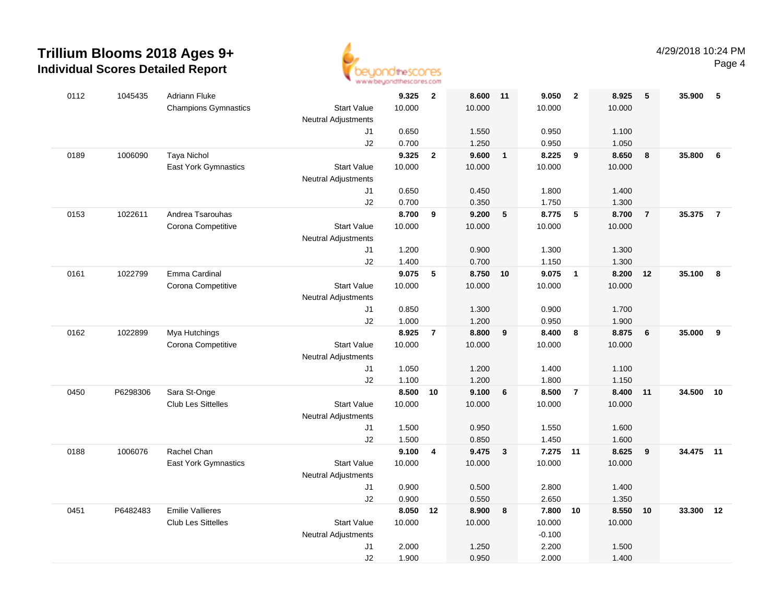

| 0112 | 1045435  | <b>Adriann Fluke</b>        |                            | 9.325          | $\overline{2}$ | 8.600          | 11              | 9.050          | $\overline{\mathbf{2}}$ | 8.925          | 5               | 35.900    | -5             |
|------|----------|-----------------------------|----------------------------|----------------|----------------|----------------|-----------------|----------------|-------------------------|----------------|-----------------|-----------|----------------|
|      |          | <b>Champions Gymnastics</b> | <b>Start Value</b>         | 10.000         |                | 10.000         |                 | 10.000         |                         | 10.000         |                 |           |                |
|      |          |                             | <b>Neutral Adjustments</b> |                |                |                |                 |                |                         |                |                 |           |                |
|      |          |                             | J1                         | 0.650          |                | 1.550          |                 | 0.950          |                         | 1.100          |                 |           |                |
|      |          |                             | J2                         | 0.700          |                | 1.250          |                 | 0.950          |                         | 1.050          |                 |           |                |
| 0189 | 1006090  | <b>Taya Nichol</b>          |                            | 9.325          | $\overline{2}$ | 9.600          | $\overline{1}$  | 8.225          | 9                       | 8.650          | 8               | 35.800    | 6              |
|      |          | <b>East York Gymnastics</b> | <b>Start Value</b>         | 10.000         |                | 10.000         |                 | 10.000         |                         | 10.000         |                 |           |                |
|      |          |                             | <b>Neutral Adjustments</b> |                |                |                |                 |                |                         |                |                 |           |                |
|      |          |                             | J1                         | 0.650          |                | 0.450          |                 | 1.800          |                         | 1.400          |                 |           |                |
|      |          |                             | J2                         | 0.700          |                | 0.350          |                 | 1.750          |                         | 1.300          |                 |           |                |
| 0153 | 1022611  | Andrea Tsarouhas            |                            | 8.700          | 9              | 9.200          | $5\phantom{.0}$ | 8.775          | 5                       | 8.700          | $\overline{7}$  | 35.375    | $\overline{7}$ |
|      |          | Corona Competitive          | <b>Start Value</b>         | 10.000         |                | 10.000         |                 | 10.000         |                         | 10.000         |                 |           |                |
|      |          |                             | <b>Neutral Adjustments</b> |                |                |                |                 |                |                         |                |                 |           |                |
|      |          |                             | J1                         | 1.200          |                | 0.900          |                 | 1.300          |                         | 1.300          |                 |           |                |
|      |          |                             | J2                         | 1.400          |                | 0.700          |                 | 1.150          |                         | 1.300          |                 |           |                |
| 0161 | 1022799  | Emma Cardinal               |                            | 9.075          | 5              | 8.750 10       |                 | 9.075          | $\overline{1}$          | 8.200          | 12              | 35.100    | 8              |
|      |          | Corona Competitive          | <b>Start Value</b>         | 10.000         |                | 10.000         |                 | 10.000         |                         | 10.000         |                 |           |                |
|      |          |                             | Neutral Adjustments        |                |                |                |                 |                |                         |                |                 |           |                |
|      |          |                             | J1<br>J2                   | 0.850          |                | 1.300          |                 | 0.900          |                         | 1.700          |                 |           |                |
| 0162 | 1022899  | Mya Hutchings               |                            | 1.000<br>8.925 | $\overline{7}$ | 1.200<br>8.800 | 9               | 0.950<br>8.400 | 8                       | 1.900<br>8.875 | $6\phantom{1}6$ | 35.000    | 9              |
|      |          | Corona Competitive          | <b>Start Value</b>         | 10.000         |                | 10.000         |                 | 10.000         |                         | 10.000         |                 |           |                |
|      |          |                             | <b>Neutral Adjustments</b> |                |                |                |                 |                |                         |                |                 |           |                |
|      |          |                             | J1                         | 1.050          |                | 1.200          |                 | 1.400          |                         | 1.100          |                 |           |                |
|      |          |                             | J2                         | 1.100          |                | 1.200          |                 | 1.800          |                         | 1.150          |                 |           |                |
| 0450 | P6298306 | Sara St-Onge                |                            | 8.500          | 10             | 9.100          | 6               | 8.500          | $\overline{7}$          | 8.400          | 11              | 34.500    | 10             |
|      |          | <b>Club Les Sittelles</b>   | <b>Start Value</b>         | 10.000         |                | 10.000         |                 | 10.000         |                         | 10.000         |                 |           |                |
|      |          |                             | <b>Neutral Adjustments</b> |                |                |                |                 |                |                         |                |                 |           |                |
|      |          |                             | J1                         | 1.500          |                | 0.950          |                 | 1.550          |                         | 1.600          |                 |           |                |
|      |          |                             | J2                         | 1.500          |                | 0.850          |                 | 1.450          |                         | 1.600          |                 |           |                |
| 0188 | 1006076  | Rachel Chan                 |                            | 9.100          | 4              | 9.475          | $\mathbf{3}$    | 7.275 11       |                         | 8.625          | 9               | 34.475 11 |                |
|      |          | <b>East York Gymnastics</b> | <b>Start Value</b>         | 10.000         |                | 10.000         |                 | 10.000         |                         | 10.000         |                 |           |                |
|      |          |                             | Neutral Adjustments        |                |                |                |                 |                |                         |                |                 |           |                |
|      |          |                             | J1                         | 0.900          |                | 0.500          |                 | 2.800          |                         | 1.400          |                 |           |                |
|      |          |                             | J2                         | 0.900          |                | 0.550          |                 | 2.650          |                         | 1.350          |                 |           |                |
| 0451 | P6482483 | <b>Emilie Vallieres</b>     |                            | 8.050          | 12             | 8.900          | 8               | 7.800 10       |                         | 8.550          | 10              | 33.300    | 12             |
|      |          | <b>Club Les Sittelles</b>   | <b>Start Value</b>         | 10.000         |                | 10.000         |                 | 10.000         |                         | 10.000         |                 |           |                |
|      |          |                             | <b>Neutral Adjustments</b> |                |                |                |                 | $-0.100$       |                         |                |                 |           |                |
|      |          |                             | J1                         | 2.000          |                | 1.250          |                 | 2.200          |                         | 1.500          |                 |           |                |
|      |          |                             | J2                         | 1.900          |                | 0.950          |                 | 2.000          |                         | 1.400          |                 |           |                |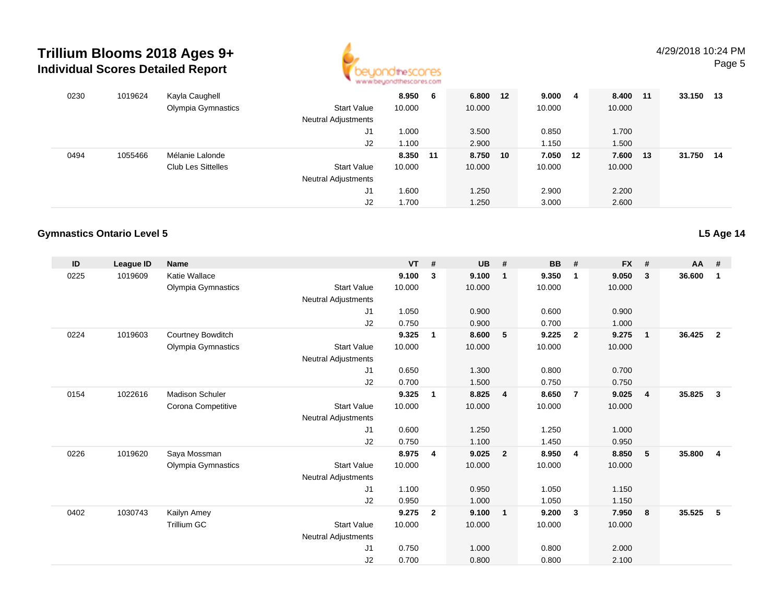

| 0230 | 1019624 | Kayla Caughell            |                     | 8.950    | 6 | 6.800 12 | 9.000  | -4 | 8.400 11 | 33.150 13 |      |
|------|---------|---------------------------|---------------------|----------|---|----------|--------|----|----------|-----------|------|
|      |         | Olympia Gymnastics        | <b>Start Value</b>  | 10.000   |   | 10.000   | 10.000 |    | 10.000   |           |      |
|      |         |                           | Neutral Adjustments |          |   |          |        |    |          |           |      |
|      |         |                           | J1                  | 1.000    |   | 3.500    | 0.850  |    | 1.700    |           |      |
|      |         |                           | J2                  | 1.100    |   | 2.900    | 1.150  |    | 1.500    |           |      |
| 0494 | 1055466 | Mélanie Lalonde           |                     | 8.350 11 |   | 8.750 10 | 7.050  | 12 | 7.600 13 | 31.750    | - 14 |
|      |         | <b>Club Les Sittelles</b> | <b>Start Value</b>  | 10.000   |   | 10.000   | 10.000 |    | 10.000   |           |      |
|      |         |                           | Neutral Adjustments |          |   |          |        |    |          |           |      |
|      |         |                           | J1                  | 1.600    |   | 1.250    | 2.900  |    | 2.200    |           |      |
|      |         |                           | J2                  | 1.700    |   | 1.250    | 3.000  |    | 2.600    |           |      |

### **Gymnastics Ontario Level 5**

| ID   | League ID | <b>Name</b>            |                            | <b>VT</b> | #              | <b>UB</b> | #              | <b>BB</b> | #                       | <b>FX</b> | #              | $AA$ # |                |
|------|-----------|------------------------|----------------------------|-----------|----------------|-----------|----------------|-----------|-------------------------|-----------|----------------|--------|----------------|
| 0225 | 1019609   | Katie Wallace          |                            | 9.100     | 3              | 9.100     | $\mathbf 1$    | 9.350     | $\mathbf{1}$            | 9.050     | $\mathbf{3}$   | 36.600 | 1              |
|      |           | Olympia Gymnastics     | <b>Start Value</b>         | 10.000    |                | 10.000    |                | 10.000    |                         | 10.000    |                |        |                |
|      |           |                        | <b>Neutral Adjustments</b> |           |                |           |                |           |                         |           |                |        |                |
|      |           |                        | J1                         | 1.050     |                | 0.900     |                | 0.600     |                         | 0.900     |                |        |                |
|      |           |                        | J2                         | 0.750     |                | 0.900     |                | 0.700     |                         | 1.000     |                |        |                |
| 0224 | 1019603   | Courtney Bowditch      |                            | 9.325     | 1              | 8.600     | 5              | 9.225     | $\overline{2}$          | 9.275     | $\overline{1}$ | 36.425 | $\overline{2}$ |
|      |           | Olympia Gymnastics     | <b>Start Value</b>         | 10.000    |                | 10.000    |                | 10.000    |                         | 10.000    |                |        |                |
|      |           |                        | Neutral Adjustments        |           |                |           |                |           |                         |           |                |        |                |
|      |           |                        | J1                         | 0.650     |                | 1.300     |                | 0.800     |                         | 0.700     |                |        |                |
|      |           |                        | J2                         | 0.700     |                | 1.500     |                | 0.750     |                         | 0.750     |                |        |                |
| 0154 | 1022616   | <b>Madison Schuler</b> |                            | 9.325     | 1              | 8.825     | $\overline{4}$ | 8.650     | $\overline{7}$          | 9.025     | $\overline{4}$ | 35.825 | $\mathbf{3}$   |
|      |           | Corona Competitive     | <b>Start Value</b>         | 10.000    |                | 10.000    |                | 10.000    |                         | 10.000    |                |        |                |
|      |           |                        | Neutral Adjustments        |           |                |           |                |           |                         |           |                |        |                |
|      |           |                        | J1                         | 0.600     |                | 1.250     |                | 1.250     |                         | 1.000     |                |        |                |
|      |           |                        | J2                         | 0.750     |                | 1.100     |                | 1.450     |                         | 0.950     |                |        |                |
| 0226 | 1019620   | Saya Mossman           |                            | 8.975     | 4              | 9.025     | $\overline{2}$ | 8.950     | $\overline{4}$          | 8.850     | 5              | 35.800 | 4              |
|      |           | Olympia Gymnastics     | <b>Start Value</b>         | 10.000    |                | 10.000    |                | 10.000    |                         | 10.000    |                |        |                |
|      |           |                        | <b>Neutral Adjustments</b> |           |                |           |                |           |                         |           |                |        |                |
|      |           |                        | J1                         | 1.100     |                | 0.950     |                | 1.050     |                         | 1.150     |                |        |                |
|      |           |                        | J2                         | 0.950     |                | 1.000     |                | 1.050     |                         | 1.150     |                |        |                |
| 0402 | 1030743   | Kailyn Amey            |                            | 9.275     | $\overline{2}$ | 9.100     | $\overline{1}$ | 9.200     | $\overline{\mathbf{3}}$ | 7.950     | 8              | 35.525 | 5              |
|      |           | <b>Trillium GC</b>     | <b>Start Value</b>         | 10.000    |                | 10.000    |                | 10.000    |                         | 10.000    |                |        |                |
|      |           |                        | Neutral Adjustments        |           |                |           |                |           |                         |           |                |        |                |
|      |           |                        | J <sub>1</sub>             | 0.750     |                | 1.000     |                | 0.800     |                         | 2.000     |                |        |                |
|      |           |                        | J <sub>2</sub>             | 0.700     |                | 0.800     |                | 0.800     |                         | 2.100     |                |        |                |

**L5 Age 14**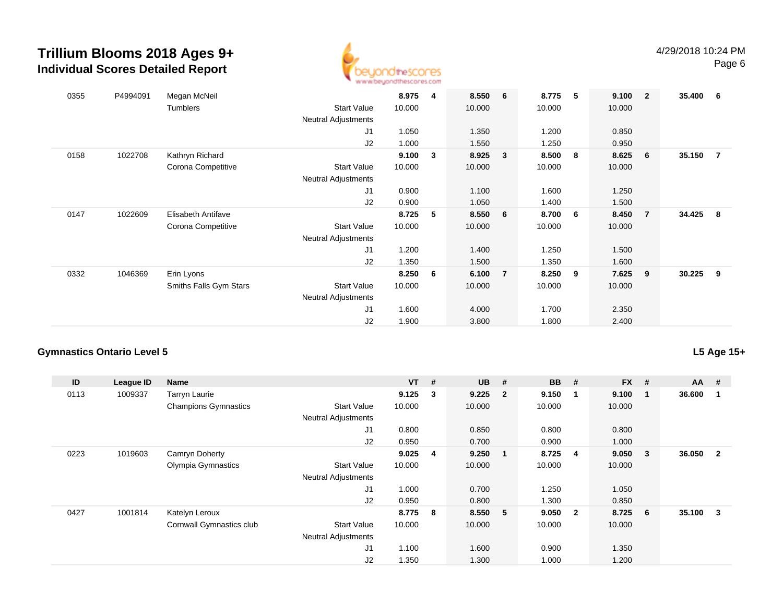

| 0355 | P4994091 | Megan McNeil           |                            | 8.975  | 4 | 8.550 6 |                | 8.775  | 5 | 9.100  | $\overline{\mathbf{2}}$ | 35.400 | - 6            |
|------|----------|------------------------|----------------------------|--------|---|---------|----------------|--------|---|--------|-------------------------|--------|----------------|
|      |          | Tumblers               | <b>Start Value</b>         | 10.000 |   | 10.000  |                | 10.000 |   | 10.000 |                         |        |                |
|      |          |                        | <b>Neutral Adjustments</b> |        |   |         |                |        |   |        |                         |        |                |
|      |          |                        | J1                         | 1.050  |   | 1.350   |                | 1.200  |   | 0.850  |                         |        |                |
|      |          |                        | J2                         | 1.000  |   | 1.550   |                | 1.250  |   | 0.950  |                         |        |                |
| 0158 | 1022708  | Kathryn Richard        |                            | 9.100  | 3 | 8.925   | 3              | 8.500  | 8 | 8.625  | - 6                     | 35.150 | $\overline{7}$ |
|      |          | Corona Competitive     | <b>Start Value</b>         | 10.000 |   | 10.000  |                | 10.000 |   | 10.000 |                         |        |                |
|      |          |                        | Neutral Adjustments        |        |   |         |                |        |   |        |                         |        |                |
|      |          |                        | J1                         | 0.900  |   | 1.100   |                | 1.600  |   | 1.250  |                         |        |                |
|      |          |                        | J2                         | 0.900  |   | 1.050   |                | 1.400  |   | 1.500  |                         |        |                |
| 0147 | 1022609  | Elisabeth Antifave     |                            | 8.725  | 5 | 8.550 6 |                | 8.700  | 6 | 8.450  | $\overline{7}$          | 34.425 | - 8            |
|      |          | Corona Competitive     | <b>Start Value</b>         | 10.000 |   | 10.000  |                | 10.000 |   | 10.000 |                         |        |                |
|      |          |                        | <b>Neutral Adjustments</b> |        |   |         |                |        |   |        |                         |        |                |
|      |          |                        | J1                         | 1.200  |   | 1.400   |                | 1.250  |   | 1.500  |                         |        |                |
|      |          |                        | J2                         | 1.350  |   | 1.500   |                | 1.350  |   | 1.600  |                         |        |                |
| 0332 | 1046369  | Erin Lyons             |                            | 8.250  | 6 | 6.100   | $\overline{7}$ | 8.250  | 9 | 7.625  | 9                       | 30.225 | 9              |
|      |          | Smiths Falls Gym Stars | <b>Start Value</b>         | 10.000 |   | 10.000  |                | 10.000 |   | 10.000 |                         |        |                |
|      |          |                        | <b>Neutral Adjustments</b> |        |   |         |                |        |   |        |                         |        |                |
|      |          |                        | J1                         | 1.600  |   | 4.000   |                | 1.700  |   | 2.350  |                         |        |                |
|      |          |                        | J2                         | 1.900  |   | 3.800   |                | 1.800  |   | 2.400  |                         |        |                |

### **Gymnastics Ontario Level 5**

**L5 Age 15+**

| ID   | League ID | Name                        |                            | $VT$ #  |                         | <b>UB</b> | #                       | <b>BB</b> | #                       | <b>FX</b> | # | $AA$ # |                |
|------|-----------|-----------------------------|----------------------------|---------|-------------------------|-----------|-------------------------|-----------|-------------------------|-----------|---|--------|----------------|
| 0113 | 1009337   | <b>Tarryn Laurie</b>        |                            | 9.125   | 3                       | 9.225     | $\overline{\mathbf{2}}$ | 9.150     | -1                      | 9.100     |   | 36.600 |                |
|      |           | <b>Champions Gymnastics</b> | <b>Start Value</b>         | 10.000  |                         | 10.000    |                         | 10.000    |                         | 10.000    |   |        |                |
|      |           |                             | <b>Neutral Adjustments</b> |         |                         |           |                         |           |                         |           |   |        |                |
|      |           |                             | J1                         | 0.800   |                         | 0.850     |                         | 0.800     |                         | 0.800     |   |        |                |
|      |           |                             | J2                         | 0.950   |                         | 0.700     |                         | 0.900     |                         | 1.000     |   |        |                |
| 0223 | 1019603   | Camryn Doherty              |                            | 9.025   | $\overline{\mathbf{4}}$ | 9.250     | $\blacksquare$          | 8.725     | -4                      | 9.050     | 3 | 36.050 | $\overline{2}$ |
|      |           | Olympia Gymnastics          | <b>Start Value</b>         | 10.000  |                         | 10.000    |                         | 10.000    |                         | 10.000    |   |        |                |
|      |           |                             | <b>Neutral Adjustments</b> |         |                         |           |                         |           |                         |           |   |        |                |
|      |           |                             | J1                         | 1.000   |                         | 0.700     |                         | 1.250     |                         | 1.050     |   |        |                |
|      |           |                             | J2                         | 0.950   |                         | 0.800     |                         | 1.300     |                         | 0.850     |   |        |                |
| 0427 | 1001814   | Katelyn Leroux              |                            | 8.775 8 |                         | 8.550 5   |                         | 9.050     | $\overline{\mathbf{2}}$ | 8.725     | 6 | 35.100 | $_{3}$         |
|      |           | Cornwall Gymnastics club    | <b>Start Value</b>         | 10.000  |                         | 10.000    |                         | 10.000    |                         | 10.000    |   |        |                |
|      |           |                             | <b>Neutral Adjustments</b> |         |                         |           |                         |           |                         |           |   |        |                |
|      |           |                             | J1                         | 1.100   |                         | 1.600     |                         | 0.900     |                         | 1.350     |   |        |                |
|      |           |                             | J2                         | 1.350   |                         | 1.300     |                         | 1.000     |                         | 1.200     |   |        |                |